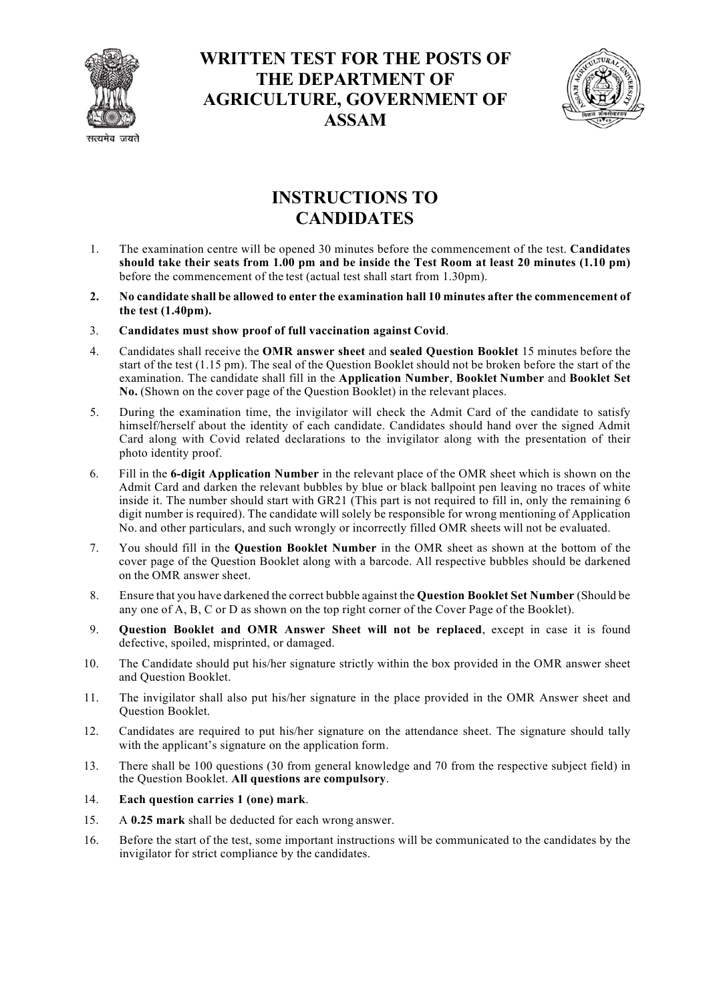

## **WRITTEN TEST FOR THE POSTS OF THE DEPARTMENT OF AGRICULTURE, GOVERNMENT OF ASSAM**



## **INSTRUCTIONS TO CANDIDATES**

- 1. The examination centre will be opened 30 minutes before the commencement of the test. **Candidates should take their seats from 1.00 pm and be inside the Test Room at least 20 minutes (1.10 pm)**  before the commencement of the test (actual test shall start from 1.30pm).
- **2. No candidate shall be allowed to enter the examination hall 10 minutes after the commencement of the test (1.40pm).**
- 3. **Candidates must show proof of full vaccination against Covid**.
- 4. Candidates shall receive the **OMR answer sheet** and **sealed Question Booklet** 15 minutes before the start of the test (1.15 pm). The seal of the Question Booklet should not be broken before the start of the examination. The candidate shall fill in the **Application Number**, **Booklet Number** and **Booklet Set No.** (Shown on the cover page of the Question Booklet) in the relevant places.
- 5. During the examination time, the invigilator will check the Admit Card of the candidate to satisfy himself/herself about the identity of each candidate. Candidates should hand over the signed Admit Card along with Covid related declarations to the invigilator along with the presentation of their photo identity proof.
- 6. Fill in the **6-digit Application Number** in the relevant place of the OMR sheet which is shown on the Admit Card and darken the relevant bubbles by blue or black ballpoint pen leaving no traces of white inside it. The number should start with GR21 (This part is not required to fill in, only the remaining 6 digit number is required). The candidate will solely be responsible for wrong mentioning of Application No. and other particulars, and such wrongly or incorrectly filled OMR sheets will not be evaluated.
- 7. You should fill in the **Question Booklet Number** in the OMR sheet as shown at the bottom of the cover page of the Question Booklet along with a barcode. All respective bubbles should be darkened on the OMR answer sheet.
- 8. Ensure that you have darkened the correct bubble against the **Question Booklet Set Number** (Should be any one of A, B, C or D as shown on the top right corner of the Cover Page of the Booklet).
- 9. **Question Booklet and OMR Answer Sheet will not be replaced**, except in case it is found defective, spoiled, misprinted, or damaged.
- 10. The Candidate should put his/her signature strictly within the box provided in the OMR answer sheet and Question Booklet.
- 11. The invigilator shall also put his/her signature in the place provided in the OMR Answer sheet and Question Booklet.
- 12. Candidates are required to put his/her signature on the attendance sheet. The signature should tally with the applicant's signature on the application form.
- 13. There shall be 100 questions (30 from general knowledge and 70 from the respective subject field) in the Question Booklet. **All questions are compulsory**.

## 14. **Each question carries 1 (one) mark**.

- 15. A **0.25 mark** shall be deducted for each wrong answer.
- 16. Before the start of the test, some important instructions will be communicated to the candidates by the invigilator for strict compliance by the candidates.